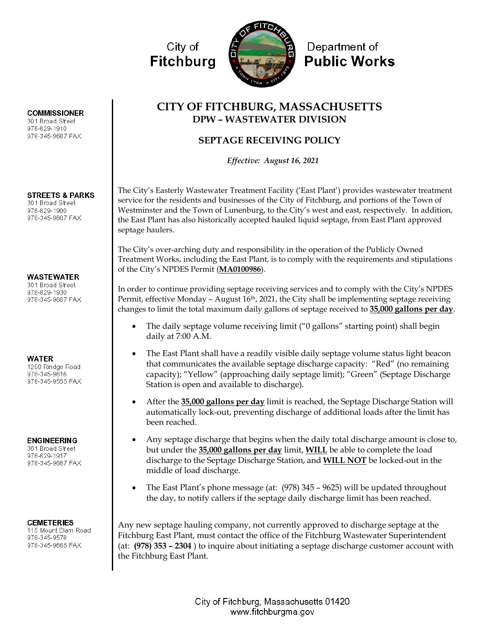

# **CITY OF FITCHBURG, MASSACHUSETTS DPW – WASTEWATER DIVISION**

## **SEPTAGE RECEIVING POLICY**

*Effective: August 16, 2021*

The City's Easterly Wastewater Treatment Facility ('East Plant') provides wastewater treatment service for the residents and businesses of the City of Fitchburg, and portions of the Town of Westminster and the Town of Lunenburg, to the City's west and east, respectively. In addition, the East Plant has also historically accepted hauled liquid septage, from East Plant approved septage haulers.

The City's over-arching duty and responsibility in the operation of the Publicly Owned Treatment Works, including the East Plant, is to comply with the requirements and stipulations of the City's NPDES Permit (**MA0100986**).

In order to continue providing septage receiving services and to comply with the City's NPDES Permit, effective Monday – August  $16<sup>th</sup>$ , 2021, the City shall be implementing septage receiving changes to limit the total maximum daily gallons of septage received to **35,000 gallons per day**.

- The daily septage volume receiving limit ("0 gallons" starting point) shall begin daily at 7:00 A.M.
- The East Plant shall have a readily visible daily septage volume status light beacon that communicates the available septage discharge capacity: "Red" (no remaining capacity); "Yellow" (approaching daily septage limit); "Green" (Septage Discharge Station is open and available to discharge).
- After the **35,000 gallons per day** limit is reached, the Septage Discharge Station will automatically lock-out, preventing discharge of additional loads after the limit has been reached.
- Any septage discharge that begins when the daily total discharge amount is close to, but under the **35,000 gallons per day** limit, **WILL** be able to complete the load discharge to the Septage Discharge Station, and **WILL NOT** be locked-out in the middle of load discharge.
- The East Plant's phone message (at:  $(978)$  345 9625) will be updated throughout the day, to notify callers if the septage daily discharge limit has been reached.

Any new septage hauling company, not currently approved to discharge septage at the Fitchburg East Plant, must contact the office of the Fitchburg Wastewater Superintendent (at: **(978) 353 – 2304** ) to inquire about initiating a septage discharge customer account with the Fitchburg East Plant.

> City of Fitchburg, Massachusetts 01420 www.fitchburgma.gov

### **COMMISSIONER**

301 Broad Street 978-829-1910 978-345-9687 FAX

## **STREETS & PARKS**

301 Broad Street 978-829-1900 978-345-9687 FAX

### **WASTEWATER**

301 Broad Street 978-829-1930 978-345-9687 FAX

#### **WATER**

1200 Rindge Road 978-345-9616 978-345-9555 FAX

### **ENGINEERING**

301 Broad Street 978-829-1917 978-345-9687 FAX

#### **CEMETERIES**

115 Mount Elam Road 978-345-9578 978-345-9686 FAX